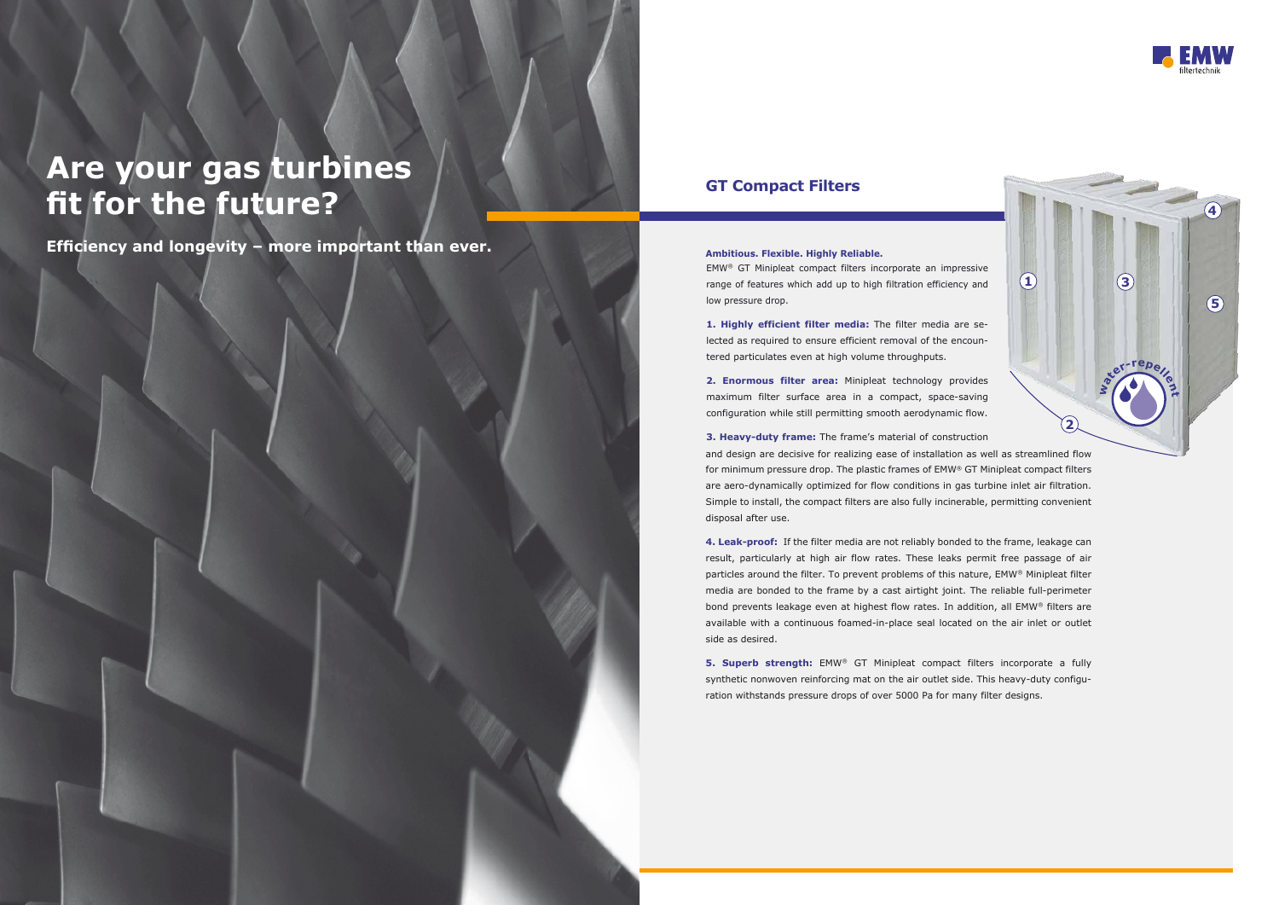# **Are your gas turbines fit for the future?**

**Efficiency and longevity – more important than ever.** Ambitious. Flexible. Highly Reliable.

## **GT Compact Filters**

EMW® GT Minipleat compact filters incorporate an impressive range of features which add up to high filtration efficiency and low pressure drop.

**1. Highly efficient filter media:** The filter media are selected as required to ensure efficient removal of the encountered particulates even at high volume throughputs.

**2. Enormous filter area:** Minipleat technology provides maximum filter surface area in a compact, space-saving configuration while still permitting smooth aerodynamic flow.

**3. Heavy-duty frame:** The frame's material of construction and design are decisive for realizing ease of installation as well as streamlined flow for minimum pressure drop. The plastic frames of EMW® GT Minipleat compact filters are aero-dynamically optimized for flow conditions in gas turbine inlet air filtration. Simple to install, the compact filters are also fully incinerable, permitting convenient disposal after use.

**5. Superb strength:** EMW® GT Minipleat compact filters incorporate a fully synthetic nonwoven reinforcing mat on the air outlet side. This heavy-duty configuration withstands pressure drops of over 5000 Pa for many filter designs.





**4. Leak-proof:** If the filter media are not reliably bonded to the frame, leakage can result, particularly at high air flow rates. These leaks permit free passage of air particles around the filter. To prevent problems of this nature, EMW® Minipleat filter media are bonded to the frame by a cast airtight joint. The reliable full-perimeter bond prevents leakage even at highest flow rates. In addition, all EMW® filters are available with a continuous foamed-in-place seal located on the air inlet or outlet side as desired.